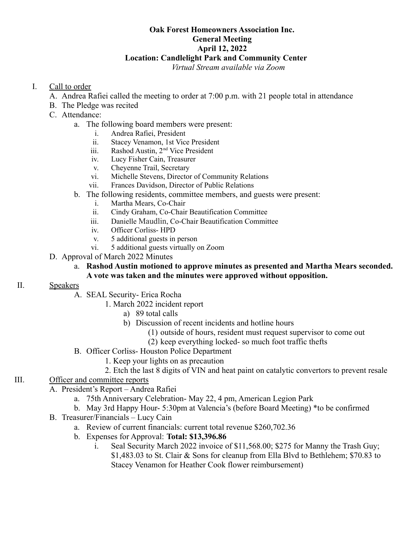#### **Oak Forest Homeowners Association Inc. General Meeting April 12, 2022 Location: Candlelight Park and Community Center**

*Virtual Stream available via Zoom*

# I. Call to order

- A. Andrea Rafiei called the meeting to order at 7:00 p.m. with 21 people total in attendance
- B. The Pledge was recited
- C. Attendance:
	- a. The following board members were present:
		- i. Andrea Rafiei, President
		- ii. Stacey Venamon, 1st Vice President
		- iii. Rashod Austin, 2<sup>nd</sup> Vice President
		- iv. Lucy Fisher Cain, Treasurer
		- v. Cheyenne Trail, Secretary
		- vi. Michelle Stevens, Director of Community Relations
		- vii. Frances Davidson, Director of Public Relations
	- b. The following residents, committee members, and guests were present:
		- i. Martha Mears, Co-Chair
		- ii. Cindy Graham, Co-Chair Beautification Committee
		- iii. Danielle Maudlin, Co-Chair Beautification Committee
		- iv. Officer Corliss- HPD
		- v. 5 additional guests in person
		- vi. 5 additional guests virtually on Zoom
- D. Approval of March 2022 Minutes
	- a. **Rashod Austin motioned to approve minutes as presented and Martha Mears seconded. A vote was taken and the minutes were approved without opposition.**

## II. Speakers

- A. SEAL Security- Erica Rocha
	- 1. March 2022 incident report
		- a) 89 total calls
		- b) Discussion of recent incidents and hotline hours
			- (1) outside of hours, resident must request supervisor to come out
			- (2) keep everything locked- so much foot traffic thefts
- B. Officer Corliss- Houston Police Department
	- 1. Keep your lights on as precaution
	- 2. Etch the last 8 digits of VIN and heat paint on catalytic convertors to prevent resale

## III. Officer and committee reports

- A. President's Report Andrea Rafiei
	- a. 75th Anniversary Celebration- May 22, 4 pm, American Legion Park
	- b. May 3rd Happy Hour- 5:30pm at Valencia's (before Board Meeting) \*to be confirmed
- B. Treasurer/Financials Lucy Cain
	- a. Review of current financials: current total revenue \$260,702.36
	- b. Expenses for Approval: **Total: \$13,396.86**
		- i. Seal Security March 2022 invoice of \$11,568.00; \$275 for Manny the Trash Guy; \$1,483.03 to St. Clair & Sons for cleanup from Ella Blvd to Bethlehem; \$70.83 to Stacey Venamon for Heather Cook flower reimbursement)